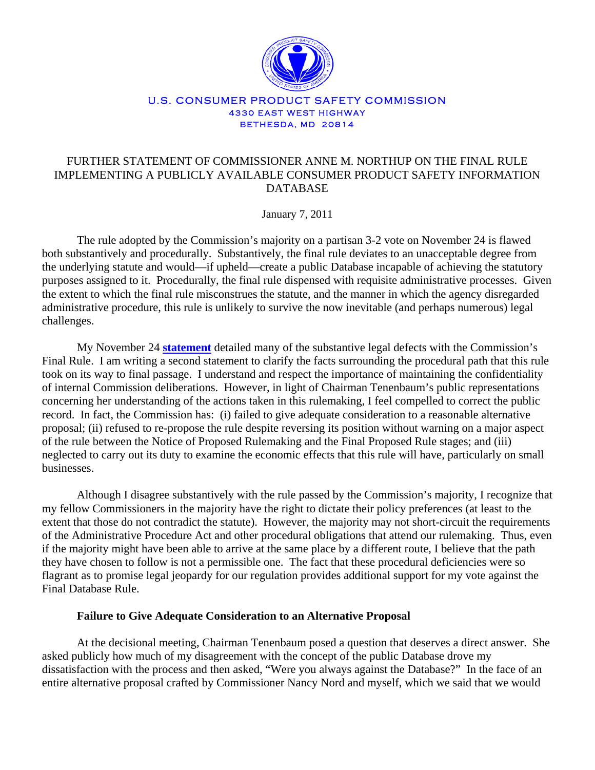

#### U.S. CONSUMER PRODUCT SAFETY COMMISSION 4330 EAST WEST HIGHWAY BETHESDA, MD 20814

# FURTHER STATEMENT OF COMMISSIONER ANNE M. NORTHUP ON THE FINAL RULE IMPLEMENTING A PUBLICLY AVAILABLE CONSUMER PRODUCT SAFETY INFORMATION DATABASE

January 7, 2011

The rule adopted by the Commission's majority on a partisan 3-2 vote on November 24 is flawed both substantively and procedurally. Substantively, the final rule deviates to an unacceptable degree from the underlying statute and would—if upheld—create a public Database incapable of achieving the statutory purposes assigned to it. Procedurally, the final rule dispensed with requisite administrative processes. Given the extent to which the final rule misconstrues the statute, and the manner in which the agency disregarded administrative procedure, this rule is unlikely to survive the now inevitable (and perhaps numerous) legal challenges.

My November 24 **[statement](http://www.cpsc.gov/pr/northup11242010.pdf)** detailed many of the substantive legal defects with the Commission's Final Rule. I am writing a second statement to clarify the facts surrounding the procedural path that this rule took on its way to final passage. I understand and respect the importance of maintaining the confidentiality of internal Commission deliberations. However, in light of Chairman Tenenbaum's public representations concerning her understanding of the actions taken in this rulemaking, I feel compelled to correct the public record. In fact, the Commission has: (i) failed to give adequate consideration to a reasonable alternative proposal; (ii) refused to re-propose the rule despite reversing its position without warning on a major aspect of the rule between the Notice of Proposed Rulemaking and the Final Proposed Rule stages; and (iii) neglected to carry out its duty to examine the economic effects that this rule will have, particularly on small businesses.

Although I disagree substantively with the rule passed by the Commission's majority, I recognize that my fellow Commissioners in the majority have the right to dictate their policy preferences (at least to the extent that those do not contradict the statute). However, the majority may not short-circuit the requirements of the Administrative Procedure Act and other procedural obligations that attend our rulemaking. Thus, even if the majority might have been able to arrive at the same place by a different route, I believe that the path they have chosen to follow is not a permissible one. The fact that these procedural deficiencies were so flagrant as to promise legal jeopardy for our regulation provides additional support for my vote against the Final Database Rule.

## **Failure to Give Adequate Consideration to an Alternative Proposal**

At the decisional meeting, Chairman Tenenbaum posed a question that deserves a direct answer. She asked publicly how much of my disagreement with the concept of the public Database drove my dissatisfaction with the process and then asked, "Were you always against the Database?" In the face of an entire alternative proposal crafted by Commissioner Nancy Nord and myself, which we said that we would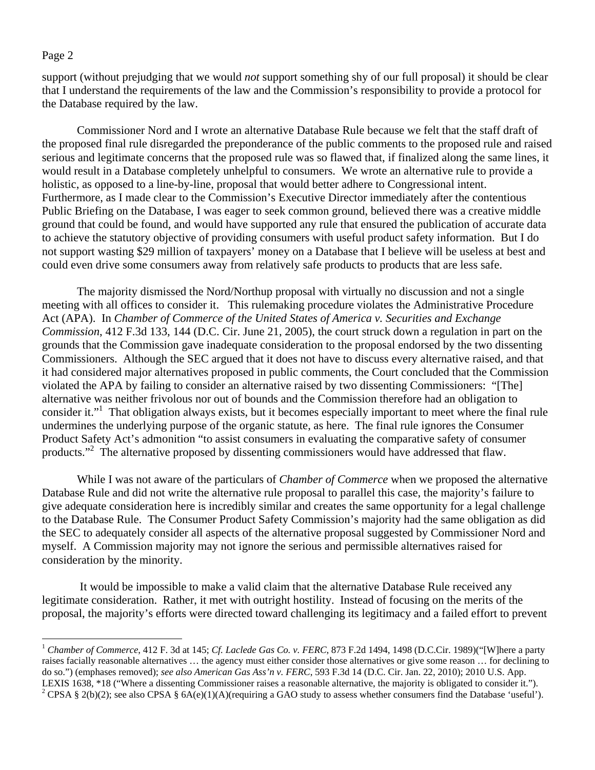$\overline{a}$ 

support (without prejudging that we would *not* support something shy of our full proposal) it should be clear that I understand the requirements of the law and the Commission's responsibility to provide a protocol for the Database required by the law.

Commissioner Nord and I wrote an alternative Database Rule because we felt that the staff draft of the proposed final rule disregarded the preponderance of the public comments to the proposed rule and raised serious and legitimate concerns that the proposed rule was so flawed that, if finalized along the same lines, it would result in a Database completely unhelpful to consumers. We wrote an alternative rule to provide a holistic, as opposed to a line-by-line, proposal that would better adhere to Congressional intent. Furthermore, as I made clear to the Commission's Executive Director immediately after the contentious Public Briefing on the Database, I was eager to seek common ground, believed there was a creative middle ground that could be found, and would have supported any rule that ensured the publication of accurate data to achieve the statutory objective of providing consumers with useful product safety information. But I do not support wasting \$29 million of taxpayers' money on a Database that I believe will be useless at best and could even drive some consumers away from relatively safe products to products that are less safe.

The majority dismissed the Nord/Northup proposal with virtually no discussion and not a single meeting with all offices to consider it. This rulemaking procedure violates the Administrative Procedure Act (APA). In *Chamber of Commerce of the United States of America v. Securities and Exchange Commission*, 412 F.3d 133, 144 (D.C. Cir. June 21, 2005), the court struck down a regulation in part on the grounds that the Commission gave inadequate consideration to the proposal endorsed by the two dissenting Commissioners. Although the SEC argued that it does not have to discuss every alternative raised, and that it had considered major alternatives proposed in public comments, the Court concluded that the Commission violated the APA by failing to consider an alternative raised by two dissenting Commissioners: "[The] alternative was neither frivolous nor out of bounds and the Commission therefore had an obligation to consider it."<sup>1</sup> That obligation always exists, but it becomes especially important to meet where the final rule undermines the underlying purpose of the organic statute, as here. The final rule ignores the Consumer Product Safety Act's admonition "to assist consumers in evaluating the comparative safety of consumer products."<sup>2</sup> The alternative proposed by dissenting commissioners would have addressed that flaw.

While I was not aware of the particulars of *Chamber of Commerce* when we proposed the alternative Database Rule and did not write the alternative rule proposal to parallel this case, the majority's failure to give adequate consideration here is incredibly similar and creates the same opportunity for a legal challenge to the Database Rule. The Consumer Product Safety Commission's majority had the same obligation as did the SEC to adequately consider all aspects of the alternative proposal suggested by Commissioner Nord and myself. A Commission majority may not ignore the serious and permissible alternatives raised for consideration by the minority.

 It would be impossible to make a valid claim that the alternative Database Rule received any legitimate consideration. Rather, it met with outright hostility. Instead of focusing on the merits of the proposal, the majority's efforts were directed toward challenging its legitimacy and a failed effort to prevent

<sup>1</sup> *Chamber of Commerce*, 412 F. 3d at 145; *Cf. Laclede Gas Co. v. FERC*, 873 F.2d 1494, 1498 (D.C.Cir. 1989)("[W]here a party raises facially reasonable alternatives … the agency must either consider those alternatives or give some reason … for declining to do so.") (emphases removed); *see also American Gas Ass'n v. FERC*, 593 F.3d 14 (D.C. Cir. Jan. 22, 2010); 2010 U.S. App. LEXIS 1638, \*18 ("Where a dissenting Commissioner raises a reasonable alternative, the majority is obligated to consider it."). 2 <sup>2</sup> CPSA § 2(b)(2); see also CPSA § 6A(e)(1)(A)(requiring a GAO study to assess whether consumers find the Database 'useful').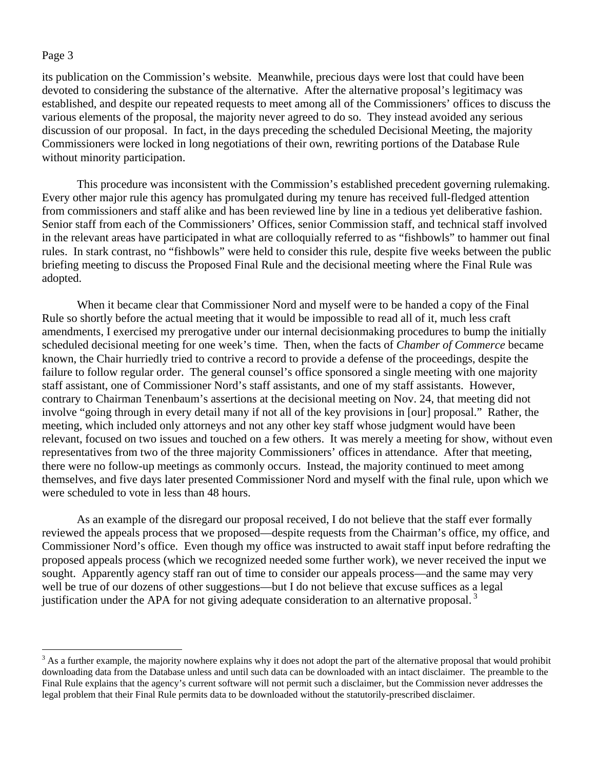its publication on the Commission's website. Meanwhile, precious days were lost that could have been devoted to considering the substance of the alternative. After the alternative proposal's legitimacy was established, and despite our repeated requests to meet among all of the Commissioners' offices to discuss the various elements of the proposal, the majority never agreed to do so. They instead avoided any serious discussion of our proposal. In fact, in the days preceding the scheduled Decisional Meeting, the majority Commissioners were locked in long negotiations of their own, rewriting portions of the Database Rule without minority participation.

This procedure was inconsistent with the Commission's established precedent governing rulemaking. Every other major rule this agency has promulgated during my tenure has received full-fledged attention from commissioners and staff alike and has been reviewed line by line in a tedious yet deliberative fashion. Senior staff from each of the Commissioners' Offices, senior Commission staff, and technical staff involved in the relevant areas have participated in what are colloquially referred to as "fishbowls" to hammer out final rules. In stark contrast, no "fishbowls" were held to consider this rule, despite five weeks between the public briefing meeting to discuss the Proposed Final Rule and the decisional meeting where the Final Rule was adopted.

When it became clear that Commissioner Nord and myself were to be handed a copy of the Final Rule so shortly before the actual meeting that it would be impossible to read all of it, much less craft amendments, I exercised my prerogative under our internal decisionmaking procedures to bump the initially scheduled decisional meeting for one week's time. Then, when the facts of *Chamber of Commerce* became known, the Chair hurriedly tried to contrive a record to provide a defense of the proceedings, despite the failure to follow regular order. The general counsel's office sponsored a single meeting with one majority staff assistant, one of Commissioner Nord's staff assistants, and one of my staff assistants. However, contrary to Chairman Tenenbaum's assertions at the decisional meeting on Nov. 24, that meeting did not involve "going through in every detail many if not all of the key provisions in [our] proposal." Rather, the meeting, which included only attorneys and not any other key staff whose judgment would have been relevant, focused on two issues and touched on a few others. It was merely a meeting for show, without even representatives from two of the three majority Commissioners' offices in attendance. After that meeting, there were no follow-up meetings as commonly occurs. Instead, the majority continued to meet among themselves, and five days later presented Commissioner Nord and myself with the final rule, upon which we were scheduled to vote in less than 48 hours.

As an example of the disregard our proposal received, I do not believe that the staff ever formally reviewed the appeals process that we proposed—despite requests from the Chairman's office, my office, and Commissioner Nord's office. Even though my office was instructed to await staff input before redrafting the proposed appeals process (which we recognized needed some further work), we never received the input we sought. Apparently agency staff ran out of time to consider our appeals process—and the same may very well be true of our dozens of other suggestions—but I do not believe that excuse suffices as a legal justification under the APA for not giving adequate consideration to an alternative proposal.<sup>3</sup>

<sup>&</sup>lt;sup>3</sup> As a further example, the majority nowhere explains why it does not adopt the part of the alternative proposal that would prohibit downloading data from the Database unless and until such data can be downloaded with an intact disclaimer. The preamble to the Final Rule explains that the agency's current software will not permit such a disclaimer, but the Commission never addresses the legal problem that their Final Rule permits data to be downloaded without the statutorily-prescribed disclaimer.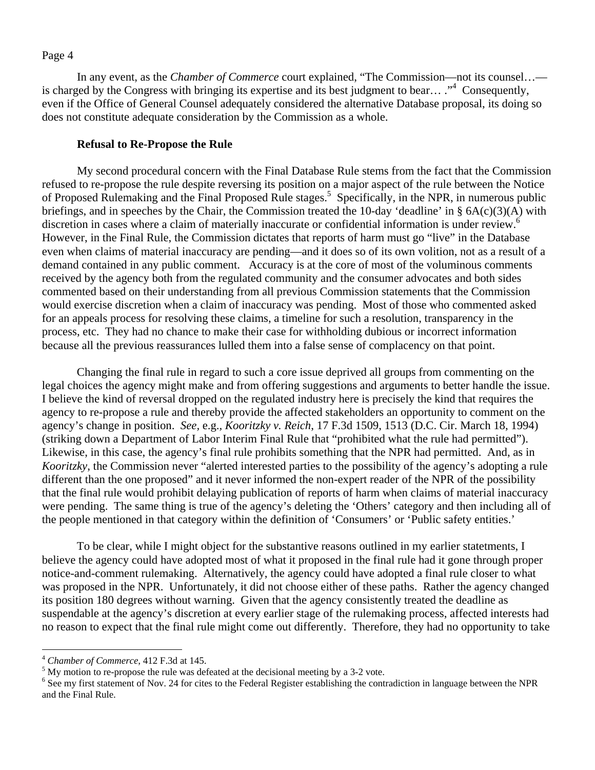In any event, as the *Chamber of Commerce* court explained, "The Commission—not its counsel… is charged by the Congress with bringing its expertise and its best judgment to bear...."<sup>4</sup> Consequently, even if the Office of General Counsel adequately considered the alternative Database proposal, its doing so does not constitute adequate consideration by the Commission as a whole.

## **Refusal to Re-Propose the Rule**

My second procedural concern with the Final Database Rule stems from the fact that the Commission refused to re-propose the rule despite reversing its position on a major aspect of the rule between the Notice of Proposed Rulemaking and the Final Proposed Rule stages.<sup>5</sup> Specifically, in the NPR, in numerous public briefings, and in speeches by the Chair, the Commission treated the 10-day 'deadline' in § 6A(c)(3)(A) with discretion in cases where a claim of materially inaccurate or confidential information is under review.<sup>6</sup> However, in the Final Rule, the Commission dictates that reports of harm must go "live" in the Database even when claims of material inaccuracy are pending—and it does so of its own volition, not as a result of a demand contained in any public comment. Accuracy is at the core of most of the voluminous comments received by the agency both from the regulated community and the consumer advocates and both sides commented based on their understanding from all previous Commission statements that the Commission would exercise discretion when a claim of inaccuracy was pending. Most of those who commented asked for an appeals process for resolving these claims, a timeline for such a resolution, transparency in the process, etc. They had no chance to make their case for withholding dubious or incorrect information because all the previous reassurances lulled them into a false sense of complacency on that point.

Changing the final rule in regard to such a core issue deprived all groups from commenting on the legal choices the agency might make and from offering suggestions and arguments to better handle the issue. I believe the kind of reversal dropped on the regulated industry here is precisely the kind that requires the agency to re-propose a rule and thereby provide the affected stakeholders an opportunity to comment on the agency's change in position. *See,* e.g.*, Kooritzky v. Reich*, 17 F.3d 1509, 1513 (D.C. Cir. March 18, 1994) (striking down a Department of Labor Interim Final Rule that "prohibited what the rule had permitted"). Likewise, in this case, the agency's final rule prohibits something that the NPR had permitted. And, as in *Kooritzky*, the Commission never "alerted interested parties to the possibility of the agency's adopting a rule different than the one proposed" and it never informed the non-expert reader of the NPR of the possibility that the final rule would prohibit delaying publication of reports of harm when claims of material inaccuracy were pending. The same thing is true of the agency's deleting the 'Others' category and then including all of the people mentioned in that category within the definition of 'Consumers' or 'Public safety entities.'

To be clear, while I might object for the substantive reasons outlined in my earlier statetments, I believe the agency could have adopted most of what it proposed in the final rule had it gone through proper notice-and-comment rulemaking. Alternatively, the agency could have adopted a final rule closer to what was proposed in the NPR. Unfortunately, it did not choose either of these paths. Rather the agency changed its position 180 degrees without warning. Given that the agency consistently treated the deadline as suspendable at the agency's discretion at every earlier stage of the rulemaking process, affected interests had no reason to expect that the final rule might come out differently. Therefore, they had no opportunity to take

 $\overline{a}$ 

<sup>&</sup>lt;sup>4</sup> *Chamber of Commerce*, 412 F.3d at 145.

 $5$  My motion to re-propose the rule was defeated at the decisional meeting by a 3-2 vote.

<sup>&</sup>lt;sup>6</sup> See my first statement of Nov. 24 for cites to the Federal Register establishing the contradiction in language between the NPR and the Final Rule.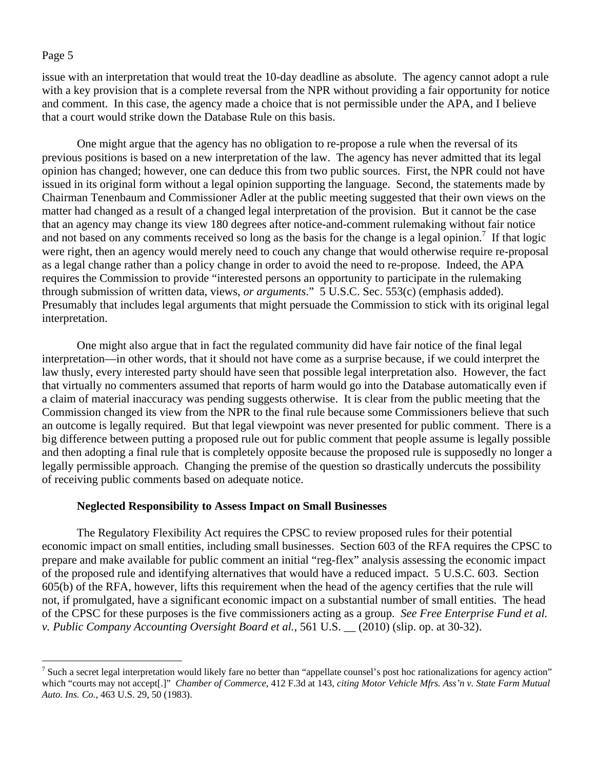$\overline{a}$ 

issue with an interpretation that would treat the 10-day deadline as absolute. The agency cannot adopt a rule with a key provision that is a complete reversal from the NPR without providing a fair opportunity for notice and comment. In this case, the agency made a choice that is not permissible under the APA, and I believe that a court would strike down the Database Rule on this basis.

One might argue that the agency has no obligation to re-propose a rule when the reversal of its previous positions is based on a new interpretation of the law. The agency has never admitted that its legal opinion has changed; however, one can deduce this from two public sources. First, the NPR could not have issued in its original form without a legal opinion supporting the language. Second, the statements made by Chairman Tenenbaum and Commissioner Adler at the public meeting suggested that their own views on the matter had changed as a result of a changed legal interpretation of the provision. But it cannot be the case that an agency may change its view 180 degrees after notice-and-comment rulemaking without fair notice and not based on any comments received so long as the basis for the change is a legal opinion.<sup>7</sup> If that logic were right, then an agency would merely need to couch any change that would otherwise require re-proposal as a legal change rather than a policy change in order to avoid the need to re-propose. Indeed, the APA requires the Commission to provide "interested persons an opportunity to participate in the rulemaking through submission of written data, views, *or arguments*." 5 U.S.C. Sec. 553(c) (emphasis added). Presumably that includes legal arguments that might persuade the Commission to stick with its original legal interpretation.

One might also argue that in fact the regulated community did have fair notice of the final legal interpretation—in other words, that it should not have come as a surprise because, if we could interpret the law thusly, every interested party should have seen that possible legal interpretation also. However, the fact that virtually no commenters assumed that reports of harm would go into the Database automatically even if a claim of material inaccuracy was pending suggests otherwise. It is clear from the public meeting that the Commission changed its view from the NPR to the final rule because some Commissioners believe that such an outcome is legally required. But that legal viewpoint was never presented for public comment. There is a big difference between putting a proposed rule out for public comment that people assume is legally possible and then adopting a final rule that is completely opposite because the proposed rule is supposedly no longer a legally permissible approach. Changing the premise of the question so drastically undercuts the possibility of receiving public comments based on adequate notice.

## **Neglected Responsibility to Assess Impact on Small Businesses**

The Regulatory Flexibility Act requires the CPSC to review proposed rules for their potential economic impact on small entities, including small businesses. Section 603 of the RFA requires the CPSC to prepare and make available for public comment an initial "reg-flex" analysis assessing the economic impact of the proposed rule and identifying alternatives that would have a reduced impact. 5 U.S.C. 603. Section 605(b) of the RFA, however, lifts this requirement when the head of the agency certifies that the rule will not, if promulgated, have a significant economic impact on a substantial number of small entities. The head of the CPSC for these purposes is the five commissioners acting as a group. *See Free Enterprise Fund et al. v. Public Company Accounting Oversight Board et al.*, 561 U.S. \_\_ (2010) (slip. op. at 30-32).

<sup>&</sup>lt;sup>7</sup> Such a secret legal interpretation would likely fare no better than "appellate counsel's post hoc rationalizations for agency action" which "courts may not accept[.]" *Chamber of Commerce*, 412 F.3d at 143, *citing Motor Vehicle Mfrs. Ass'n v. State Farm Mutual Auto. Ins. Co.*, 463 U.S. 29, 50 (1983).